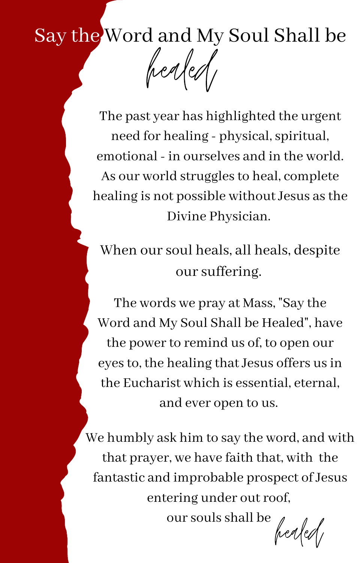## Say the Word and My Soul Shall be

healed

The past year has highlighted the urgent need for healing - physical, spiritual, emotional - in ourselves and in the world. As our world struggles to heal, complete healing is not possible without Jesus asthe Divine Physician.

When our soul heals, all heals, despite our suffering.

The words we pray at Mass, "Say the Word and My Soul Shall be Healed", have the power to remind us of, to open our eyes to, the healing that Jesus offers us in the Eucharist which is essential, eternal, and ever open to us.

We humbly ask him to say the word, and with that prayer, we have faith that, with the fantastic and improbable prospect of Jesus entering under out roof,

oursoulsshall be

healed